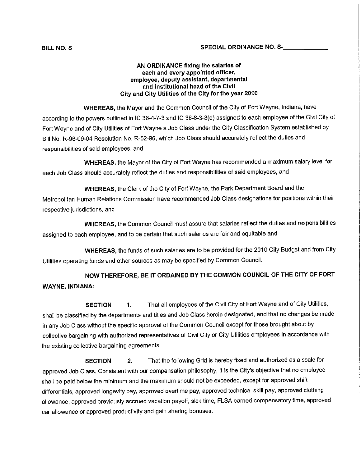#### **AN ORDINANCE fixing the salaries of each and every appointed officer, employee, deputy assistant, departmental and institutional head of the Civil City and City Utilities of the City for the year 2010**

**WHEREAS,** the Mayor and the Common Council of the City of Fort Wayne, Indiana, have according to the powers outlined in IC 36-4-7-3 and IC 36-8-3-3(d) assigned to each employee of the Civil City of Fort Wayne and of City Utilities of Fort Wayne a Job Class under the City Classification System established by Bill No. R-96-09-04 Resolution No. R-52-96, which Job Class should accurately reflect the duties and responsibilities of said employees, and

**WHEREAS,** the Mayor of the City of Fort Wayne has recommended a maximum salary level for each Job Class should accurately reflect the duties and responsibilities of said employees, and

**WHEREAS,** the Clerk of the City of Fort Wayne, the Park Department Board and the Metropolitan Human Relations Commission have recommended Job Class designations for positions within their respective jurisdictions, and

**WHEREAS,** the Common Council must assure that salaries reflect the duties and responsibilities assigned to each employee, and to be certain that such salaries are fair and equitable and

**WHEREAS,** the funds of such salaries are to be provided for the 2010 City Budget and from City Utilities operating funds and other sources as may be specified by Common Council.

**NOW THEREFORE, BE IT ORDAINED BY THE COMMON COUNCIL OF THE CITY OF FORT WAYNE, INDIANA:**

**SECTION** 1. That all employees of the Civil City of Fort Wayne and of City Utilities, shall be classified by the departments and titles and Job Class herein designated, and that no changes be made in any Job Class without the specific approval of the Common Council except for those brought about by collective bargaining with authorized representatives of Civil City or City Utilities employees in accordance with the existing collective bargaining agreements.

**SECTION 2.** That the following Grid is hereby fixed and authorized as a scale for approved Job Class. Consistent with our compensation philosophy, it is the City's objective that no employee shall be paid below the minimum and the maximum should not be exceeded, except for approved shift differentials, approved longevity pay, approved overtime pay, approved technical skill pay, approved clothing allowance, approved previously accrued vacation payoff, sick time, FLSA earned compensatory time, approved car allowance or approved productivity and gain sharing bonuses.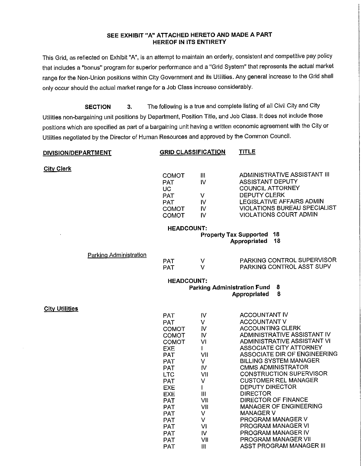#### **SEE EXHIBIT "A" ATTACHED HERETO AND MADE A PART HEREOF IN ITS ENTIRETY**

This Grid, as reflected on Exhibit "A", is an attempt to maintain an orderly, consistent and competitive pay policy that includes a "bonus" program for superior performance and a "Grid System" that represents the actual market range for the Non-Union positions within City Government and its Utilities. Any general increase to the Grid shall only occur should the actual market range for a Job Class increase considerably.

**SECTION 3.** The following is a true and complete listing of all Civil City and City Utilities non-bargaining unit positions by Department, Position Title, and Job Class. It does not include those positions which are specified as part of a bargaining unit having a written economic agreement with the City or Utilities negotiated by the Director of Human Resources and approved by the Common Council.

| DIVISION/DEPARTMENT   |                               |                                                                                                                                                                                                                                                                                     | <b>GRID CLASSIFICATION</b>                                                                                                                                    | <b>TITLE</b>                                                                                                                                                                                                                                                                                                                                                                                                                                                                                                                                                                              |  |
|-----------------------|-------------------------------|-------------------------------------------------------------------------------------------------------------------------------------------------------------------------------------------------------------------------------------------------------------------------------------|---------------------------------------------------------------------------------------------------------------------------------------------------------------|-------------------------------------------------------------------------------------------------------------------------------------------------------------------------------------------------------------------------------------------------------------------------------------------------------------------------------------------------------------------------------------------------------------------------------------------------------------------------------------------------------------------------------------------------------------------------------------------|--|
| <b>City Clerk</b>     |                               | COMOT<br><b>PAT</b><br><b>UC</b><br>PAT<br><b>PAT</b><br><b>COMOT</b><br><b>COMOT</b>                                                                                                                                                                                               | $\mathbf{  }$<br>IV<br>V<br>IV<br>IV.<br>IV.                                                                                                                  | ADMINISTRATIVE ASSISTANT III<br><b>ASSISTANT DEPUTY</b><br><b>COUNCIL ATTORNEY</b><br><b>DEPUTY CLERK</b><br>LEGISLATIVE AFFAIRS ADMIN<br>VIOLATIONS BUREAU SPECIALIST<br><b>VIOLATIONS COURT ADMIN</b>                                                                                                                                                                                                                                                                                                                                                                                   |  |
|                       |                               | <b>HEADCOUNT:</b>                                                                                                                                                                                                                                                                   |                                                                                                                                                               |                                                                                                                                                                                                                                                                                                                                                                                                                                                                                                                                                                                           |  |
|                       |                               |                                                                                                                                                                                                                                                                                     |                                                                                                                                                               | 18<br><b>Property Tax Supported</b><br>18<br>Appropriated                                                                                                                                                                                                                                                                                                                                                                                                                                                                                                                                 |  |
|                       | <b>Parking Administration</b> | <b>PAT</b><br><b>PAT</b>                                                                                                                                                                                                                                                            | $\vee$<br>V                                                                                                                                                   | PARKING CONTROL SUPERVISOR<br>PARKING CONTROL ASST SUPV                                                                                                                                                                                                                                                                                                                                                                                                                                                                                                                                   |  |
|                       |                               | <b>HEADCOUNT:</b>                                                                                                                                                                                                                                                                   | <b>Parking Administration Fund</b>                                                                                                                            | 8<br>8<br>Appropriated                                                                                                                                                                                                                                                                                                                                                                                                                                                                                                                                                                    |  |
| <b>City Utilities</b> |                               | <b>PAT</b><br><b>PAT</b><br><b>COMOT</b><br><b>COMOT</b><br>COMOT<br>EXE<br><b>PAT</b><br><b>PAT</b><br><b>PAT</b><br><b>LTC</b><br><b>PAT</b><br><b>EXE</b><br><b>EXE</b><br><b>PAT</b><br><b>PAT</b><br><b>PAT</b><br><b>PAT</b><br><b>PAT</b><br><b>PAT</b><br><b>PAT</b><br>PAT | IV<br>v<br>$\mathsf{N}$<br>IV<br>VI<br>$\mathbf{I}$<br>VII<br>V<br>IV.<br>VII<br>V<br>$\mathbf{I}$<br>III<br>VII<br>VII<br>V.<br>V<br>VI<br>IV.<br>VII<br>III | <b>ACCOUNTANT IV</b><br><b>ACCOUNTANT V</b><br><b>ACCOUNTING CLERK</b><br>ADMINISTRATIVE ASSISTANT IV<br>ADMINISTRATIVE ASSISTANT VI<br><b>ASSOCIATE CITY ATTORNEY</b><br>ASSOCIATE DIR OF ENGINEERING<br><b>BILLING SYSTEM MANAGER</b><br><b>CMMS ADMINISTRATOR</b><br><b>CONSTRUCTION SUPERVISOR</b><br><b>CUSTOMER REL MANAGER</b><br><b>DEPUTY DIRECTOR</b><br><b>DIRECTOR</b><br><b>DIRECTOR OF FINANCE</b><br>MANAGER OF ENGINEERING<br><b>MANAGER V</b><br>PROGRAM MANAGER V<br>PROGRAM MANAGER VI<br>PROGRAM MANAGER IV<br>PROGRAM MANAGER VII<br><b>ASST PROGRAM MANAGER III</b> |  |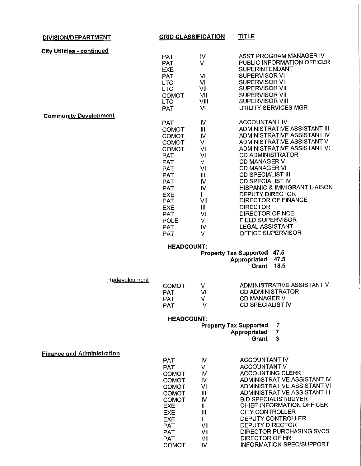| DIVISION/DEPARTMENT               | <b>GRID CLASSIFICATION</b>                                                                                                                                                                                                                                               |                                                                                                                   | <b>TITLE</b>                                                                                                                                                                                                                                                                                                                                                                                                                                                                                                                                                   |
|-----------------------------------|--------------------------------------------------------------------------------------------------------------------------------------------------------------------------------------------------------------------------------------------------------------------------|-------------------------------------------------------------------------------------------------------------------|----------------------------------------------------------------------------------------------------------------------------------------------------------------------------------------------------------------------------------------------------------------------------------------------------------------------------------------------------------------------------------------------------------------------------------------------------------------------------------------------------------------------------------------------------------------|
| <b>City Utilities - continued</b> |                                                                                                                                                                                                                                                                          |                                                                                                                   |                                                                                                                                                                                                                                                                                                                                                                                                                                                                                                                                                                |
|                                   | <b>PAT</b><br><b>PAT</b><br><b>EXE</b><br><b>PAT</b><br><b>LTC</b><br><b>LTC</b><br><b>COMOT</b>                                                                                                                                                                         | IV<br>V<br>٧I<br>VI<br>VII<br>VII                                                                                 | ASST PROGRAM MANAGER IV<br>PUBLIC INFORMATION OFFICER<br><b>SUPERINTENDANT</b><br><b>SUPERVISOR VI</b><br><b>SUPERVISOR VI</b><br>SUPERVISOR VII<br><b>SUPERVISOR VII</b><br><b>SUPERVISOR VIII</b>                                                                                                                                                                                                                                                                                                                                                            |
|                                   | <b>LTC</b><br><b>PAT</b>                                                                                                                                                                                                                                                 | VIII<br>VI                                                                                                        | UTILITY SERVICES MGR                                                                                                                                                                                                                                                                                                                                                                                                                                                                                                                                           |
| <b>Community Development</b>      |                                                                                                                                                                                                                                                                          |                                                                                                                   |                                                                                                                                                                                                                                                                                                                                                                                                                                                                                                                                                                |
|                                   | <b>PAT</b><br><b>COMOT</b><br><b>COMOT</b><br><b>COMOT</b><br>COMOT<br><b>PAT</b><br>PAT<br><b>PAT</b><br><b>PAT</b><br><b>PAT</b><br><b>PAT</b><br><b>EXE</b><br><b>PAT</b><br><b>EXE</b><br><b>PAT</b><br><b>POLE</b><br><b>PAT</b><br><b>PAT</b><br><b>HEADCOUNT:</b> | $\mathsf{IV}$<br>III<br>IV<br>V<br>VI<br>VI<br>V<br>VI<br>Ш<br>IV<br>IV<br>L<br>VII<br>III<br>VII<br>v<br>IV<br>v | ACCOUNTANT IV<br>ADMINISTRATIVE ASSISTANT III<br>ADMINISTRATIVE ASSISTANT IV<br>ADMINISTRATIVE ASSISTANT V<br>ADMINISTRATIVE ASSISTANT VI<br><b>CD ADMINISTRATOR</b><br><b>CD MANAGER V</b><br><b>CD MANAGER VI</b><br><b>CD SPECIALIST III</b><br><b>CD SPECIALIST IV</b><br><b>HISPANIC &amp; IMMIGRANT LIAISON</b><br><b>DEPUTY DIRECTOR</b><br>DIRECTOR OF FINANCE<br><b>DIRECTOR</b><br><b>DIRECTOR OF NCE</b><br><b>FIELD SUPERVISOR</b><br><b>LEGAL ASSISTANT</b><br>OFFICE SUPERVISOR<br>47.5<br><b>Property Tax Supported</b><br>Appropriated<br>47.5 |
| Redevelopment                     |                                                                                                                                                                                                                                                                          |                                                                                                                   | 18.5<br>Grant                                                                                                                                                                                                                                                                                                                                                                                                                                                                                                                                                  |
|                                   | <b>COMOT</b><br><b>PAT</b><br><b>PAT</b><br><b>PAT</b>                                                                                                                                                                                                                   | V<br>VI<br>V.<br>IV.                                                                                              | ADMINISTRATIVE ASSISTANT V<br><b>CD ADMINISTRATOR</b><br><b>CD MANAGER V</b><br><b>CD SPECIALIST IV</b>                                                                                                                                                                                                                                                                                                                                                                                                                                                        |
|                                   | <b>HEADCOUNT:</b>                                                                                                                                                                                                                                                        |                                                                                                                   |                                                                                                                                                                                                                                                                                                                                                                                                                                                                                                                                                                |
|                                   |                                                                                                                                                                                                                                                                          |                                                                                                                   | <b>Property Tax Supported</b><br>7                                                                                                                                                                                                                                                                                                                                                                                                                                                                                                                             |
|                                   |                                                                                                                                                                                                                                                                          |                                                                                                                   | $\overline{7}$<br>Appropriated<br>3<br>Grant                                                                                                                                                                                                                                                                                                                                                                                                                                                                                                                   |
| <b>Finance and Administration</b> | <b>PAT</b><br><b>PAT</b><br>COMOT<br><b>COMOT</b><br><b>COMOT</b><br><b>COMOT</b><br><b>COMOT</b><br><b>EXE</b><br><b>EXE</b><br><b>EXE</b><br><b>PAT</b>                                                                                                                | IV.<br>V<br>IV.<br>IV<br>VI<br>III<br>IV<br>Ⅱ.<br>$\mathbf{III}$<br>VII                                           | <b>ACCOUNTANT IV</b><br><b>ACCOUNTANT V</b><br><b>ACCOUNTING CLERK</b><br>ADMINISTRATIVE ASSISTANT IV<br>ADMINISTRATIVE ASSISTANT VI<br>ADMINISTRATIVE ASSISTANT III<br><b>BID SPECIALIST/BUYER</b><br>CHIEF INFORMATION OFFICER<br><b>CITY CONTROLLER</b><br><b>DEPUTY CONTROLLER</b><br><b>DEPUTY DIRECTOR</b>                                                                                                                                                                                                                                               |

PAT PAT COMOT VII VII IV

DIRECTOR PURCHASING SVCS

INFORMATION SPEC/SUPPORT

DIRECTOR OF HR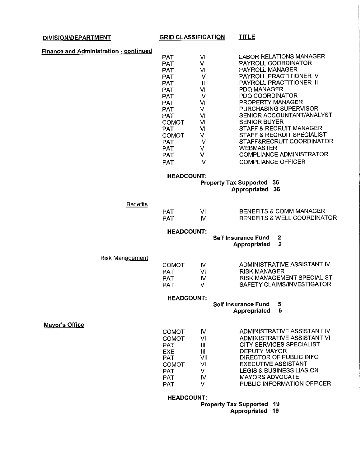#### **DIVISION/DEPARTMENT**

**GRID CLASSIFICATION**

**TITLE**

| Finance and Administration - continued |  |
|----------------------------------------|--|
|                                        |  |

| PAT          | VI | LABOR RELATIONS MANAGER         |
|--------------|----|---------------------------------|
| PAT          | v  | PAYROLL COORDINATOR             |
|              |    |                                 |
| <b>PAT</b>   | ٧I | <b>PAYROLL MANAGER</b>          |
| PAT          | ΙV | <b>PAYROLL PRACTITIONER IV</b>  |
| PAT          | Ш  | PAYROLL PRACTITIONER III        |
| PAT          | vı | PDQ MANAGER                     |
| PAT          | ιv | PDQ COORDINATOR                 |
| PAT          | VI | <b>PROPERTY MANAGER</b>         |
| PAT          | v  | PURCHASING SUPERVISOR           |
| PAT          | vı | SENIOR ACCOUNTANT/ANALYST       |
| COMOT        | VI | <b>SENIOR BUYER</b>             |
| PAT          | VI | STAFF & RECRUIT MANAGER         |
| <b>COMOT</b> | V  | STAFF & RECRUIT SPECIALIST      |
| <b>PAT</b>   | IV | STAFF&RECRUIT COORDINATOR       |
| <b>PAT</b>   | ٧  | <b>WEBMASTER</b>                |
| <b>PAT</b>   | V  | <b>COMPLIANCE ADMINISTRATOR</b> |
| PAT          | IV | COMPLIANCE OFFICER              |
|              |    |                                 |

#### **HEADCOUNT:**

**Property Tax Supported 36**

**Appropriated 36**

| <b>Benefits</b> |            |                             |
|-----------------|------------|-----------------------------|
|                 | <b>PAT</b> | BENEFITS & COMM MANAGER     |
|                 | PAT        | BENEFITS & WELL COORDINATOR |

#### **HEADCOUNT:**

**Self Insurance Fund 2 Appropriated 2**

Risk Management

| <b>COMOT</b> | N   | ADMINISTRATIVE ASSISTANT IV |
|--------------|-----|-----------------------------|
| PAT          | VI. | <b>RISK MANAGER</b>         |
| PAT          | M   | RISK MANAGEMENT SPECIALIST  |
| PAT          | v   | SAFETY CLAIMS/INVESTIGATOR  |
|              |     |                             |

#### **HEADCOUNT:**

**Self Insurance Fund 5**

**Appropriated 5**

**Mayor's Office**

| <b>COMOT</b> | N   | ADMINISTRATIVE ASSISTANT IV         |
|--------------|-----|-------------------------------------|
| COMOT        | VI  | ADMINISTRATIVE ASSISTANT VI         |
| PAT          | Ш   | CITY SERVICES SPECIALIST            |
| EXE          | Ш   | DEPUTY MAYOR                        |
| <b>PAT</b>   | VII | DIRECTOR OF PUBLIC INFO             |
| <b>COMOT</b> | VI  | <b>EXECUTIVE ASSISTANT</b>          |
| <b>PAT</b>   | V   | <b>LEGIS &amp; BUSINESS LIASION</b> |
| <b>PAT</b>   | N   | <b>MAYORS ADVOCATE</b>              |
| <b>PAT</b>   |     | PUBLIC INFORMATION OFFICER          |

#### **HEADCOUNT:**

**Property Tax Supported 19**

**Appropriated 19**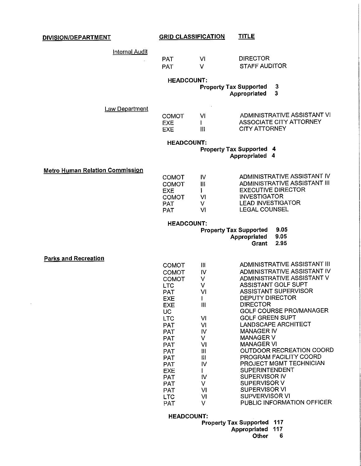| DIVISION/DEPARTMENT                    | <b>GRID CLASSIFICATION</b> |                                | <u>TITLE</u>                                       |
|----------------------------------------|----------------------------|--------------------------------|----------------------------------------------------|
|                                        |                            |                                |                                                    |
| <b>Internal Audit</b>                  | <b>PAT</b>                 | VI                             | <b>DIRECTOR</b>                                    |
|                                        | <b>PAT</b>                 | V                              | <b>STAFF AUDITOR</b>                               |
|                                        |                            |                                |                                                    |
|                                        | <b>HEADCOUNT:</b>          |                                |                                                    |
|                                        |                            |                                | 3<br><b>Property Tax Supported</b>                 |
|                                        |                            |                                | 3<br>Appropriated                                  |
|                                        |                            |                                |                                                    |
| Law Department                         | <b>COMOT</b>               | VI                             | ADMINISTRATIVE ASSISTANT VI                        |
|                                        | <b>EXE</b>                 | L                              | <b>ASSOCIATE CITY ATTORNEY</b>                     |
|                                        | <b>EXE</b>                 | $\mathbf{III}$                 | <b>CITY ATTORNEY</b>                               |
|                                        |                            |                                |                                                    |
|                                        | <b>HEADCOUNT:</b>          |                                | <b>Property Tax Supported 4</b>                    |
|                                        |                            |                                | Appropriated 4                                     |
|                                        |                            |                                |                                                    |
| <b>Metro Human Relation Commission</b> | <b>COMOT</b>               | IV                             | ADMINISTRATIVE ASSISTANT IV                        |
|                                        | <b>COMOT</b>               | $\mathbf{III}$                 | ADMINISTRATIVE ASSISTANT III                       |
|                                        | <b>EXE</b>                 | L                              | <b>EXECUTIVE DIRECTOR</b>                          |
|                                        | <b>COMOT</b>               | VI                             | <b>INVESTIGATOR</b>                                |
|                                        | <b>PAT</b>                 | V<br>VI                        | <b>LEAD INVESTIGATOR</b><br><b>LEGAL COUNSEL</b>   |
|                                        | <b>PAT</b>                 |                                |                                                    |
|                                        | <b>HEADCOUNT:</b>          |                                |                                                    |
|                                        |                            |                                | 9.05<br><b>Property Tax Supported</b>              |
|                                        |                            |                                | 9.05<br>Appropriated<br>2.95<br>Grant              |
|                                        |                            |                                |                                                    |
| <b>Parks and Recreation</b>            |                            |                                |                                                    |
|                                        | <b>COMOT</b>               | III                            | ADMINISTRATIVE ASSISTANT III                       |
|                                        | <b>COMOT</b>               | IV                             | ADMINISTRATIVE ASSISTANT IV                        |
|                                        | <b>COMOT</b><br><b>LTC</b> | v<br>v                         | ADMINISTRATIVE ASSISTANT V<br>ASSISTANT GOLF SUPT  |
|                                        | <b>PAT</b>                 | VI                             | <b>ASSISTANT SUPERVISOR</b>                        |
|                                        | EXE                        | $\mathbf{I}$                   | DEPUTY DIRECTOR                                    |
|                                        | <b>EXE</b>                 | Ш                              | <b>DIRECTOR</b>                                    |
|                                        | UC.                        |                                | GOLF COURSE PRO/MANAGER<br><b>GOLF GREEN SUPT</b>  |
|                                        | <b>LTC</b><br><b>PAT</b>   | VI<br>VI                       | <b>LANDSCAPE ARCHITECT</b>                         |
|                                        | <b>PAT</b>                 | IV                             | <b>MANAGER IV</b>                                  |
|                                        | <b>PAT</b>                 | V                              | <b>MANAGER V</b>                                   |
|                                        | <b>PAT</b>                 | VI                             | <b>MANAGER VI</b>                                  |
|                                        | <b>PAT</b><br><b>PAT</b>   | $\mathbf{III}$<br>$\mathbf{H}$ | OUTDOOR RECREATION COORD<br>PROGRAM FACILITY COORD |
|                                        | <b>PAT</b>                 | IV                             | PROJECT MGMT TECHNICIAN                            |
|                                        | <b>EXE</b>                 | $\mathbf{I}$                   | <b>SUPERINTENDENT</b>                              |
|                                        | <b>PAT</b>                 | IV.                            | <b>SUPERVISOR IV</b>                               |
|                                        | <b>PAT</b>                 | V<br>VI                        | SUPERVISOR V<br><b>SUPERVISOR VI</b>               |
|                                        | <b>PAT</b><br><b>LTC</b>   | M                              | SUPVERVISOR VI                                     |
|                                        | <b>PAT</b>                 | V                              | PUBLIC INFORMATION OFFICER                         |

 $\overline{\phantom{a}}$ 

**HEADCOUNT:**

**Property Tax Supported 117**

- **Appropriated 117**
	- **Other 6**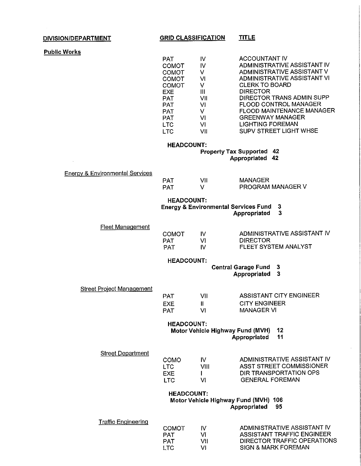#### **DIVISION/DEPARTMENT**

 $\mathcal{A}$ 

#### **GRID CLASSIFICATION TITLE**

|  |  |  | <b>Public Works</b> |
|--|--|--|---------------------|
|  |  |  |                     |

| PAT.         | ΙV  | ACCOUNTANT IV                    |
|--------------|-----|----------------------------------|
| <b>COMOT</b> | ΙV  | ADMINISTRATIVE ASSISTANT IV      |
| COMOT        | v   | ADMINISTRATIVE ASSISTANT V       |
| COMOT        | VI  | ADMINISTRATIVE ASSISTANT VI      |
| <b>COMOT</b> | v   | <b>CLERK TO BOARD</b>            |
| EXE.         | Ш   | <b>DIRECTOR</b>                  |
| <b>PAT</b>   | VII | DIRECTOR TRANS ADMIN SUPP        |
| <b>PAT</b>   | VI  | <b>FLOOD CONTROL MANAGER</b>     |
| <b>PAT</b>   | v   | <b>FLOOD MAINTENANCE MANAGER</b> |
| <b>PAT</b>   | vı  | <b>GREENWAY MANAGER</b>          |
| <b>LTC</b>   | VI  | <b>LIGHTING FOREMAN</b>          |
| <b>LTC</b>   | VII | SUPV STREET LIGHT WHSE           |

#### **HEADCOUNT:**

**Property Tax Supported 42 Appropriated 42**

Energy & Environmental Services

| <b>PAT</b> | VII | MANAGER                  |
|------------|-----|--------------------------|
| <b>PAT</b> |     | <b>PROGRAM MANAGER V</b> |

#### **HEADCOUNT:**

**Energy & Environmental Services Fund 3**

**Appropriated 3**

#### Fleet Management

| ADMINISTRATIVE ASSISTANT IV |
|-----------------------------|
|                             |
| FLEET SYSTEM ANALYST        |
|                             |

#### **HEADCOUNT:**

**Central Garage Fund 3**

**Appropriated 3**

Street Project Management

| PAT | VII | ASSISTANT CITY ENGINEER |
|-----|-----|-------------------------|
| EXE |     | <b>CITY ENGINEER</b>    |
| PAT | VΙ  | <b>MANAGER VI</b>       |

#### **HEADCOUNT:**

**Motor Vehicle Highway Fund (MVH) 12**

**Appropriated 11**

| <b>Street Department</b> | COMO<br>TTC.<br><b>FXF</b> | w<br>VIII | ADMINISTRATIVE ASSISTANT IV<br>ASST STREET COMMISSIONER<br>DIR TRANSPORTATION OPS |
|--------------------------|----------------------------|-----------|-----------------------------------------------------------------------------------|
|                          | I TC.                      | M         | <b>GENERAL FOREMAN</b>                                                            |

#### **HEADCOUNT: Motor Vehicle Highway Fund (MVH) 106 Appropriated 95**

| Traffic Engineering |       |     |                             |
|---------------------|-------|-----|-----------------------------|
|                     | COMOT | w   | ADMINISTRATIVE ASSISTANT IV |
|                     | PAT   | VI. | ASSISTANT TRAFFIC ENGINEER  |
|                     | PAT   | VH  | DIRECTOR TRAFFIC OPERATIONS |
|                     | TTC.  | M   | SIGN & MARK FOREMAN         |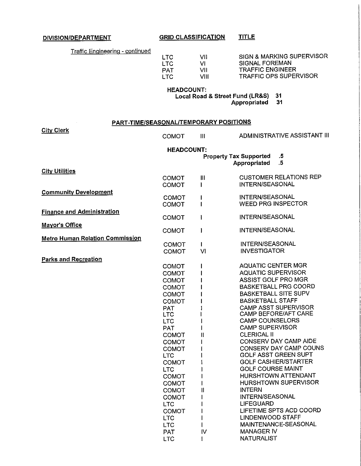**DIVISION/DEPARTMENT GRID CLASSIFICATION TITLE**

| VII  |
|------|
| vı   |
| VII  |
| VIII |
|      |

SIGN & MARKING SUPERVISOR SIGNAL FOREMAN TRAFFIC ENGINEER TRAFFIC OPS SUPERVISOR

**HEADCOUNT:**

**Local Road & Street Fund (LR&S) 31**

**Appropriated 31**

|                                        | PART-TIME/SEASONAL/TEMPORARY POSITIONS |                    |                                                         |
|----------------------------------------|----------------------------------------|--------------------|---------------------------------------------------------|
| <b>City Clerk</b>                      | <b>COMOT</b>                           | III                | ADMINISTRATIVE ASSISTANT III                            |
|                                        | <b>HEADCOUNT:</b>                      |                    |                                                         |
|                                        |                                        |                    | <b>Property Tax Supported</b><br>.5                     |
|                                        |                                        |                    | $.5\,$<br>Appropriated                                  |
| <b>City Utilities</b>                  |                                        |                    | <b>CUSTOMER RELATIONS REP</b>                           |
|                                        | <b>COMOT</b><br>COMOT                  | Ш                  | INTERN/SEASONAL                                         |
| <b>Community Development</b>           |                                        |                    |                                                         |
|                                        | <b>COMOT</b>                           |                    | <b>INTERN/SEASONAL</b>                                  |
|                                        | COMOT                                  |                    | <b>WEED PRG INSPECTOR</b>                               |
| <b>Finance and Administration</b>      |                                        |                    |                                                         |
|                                        | <b>COMOT</b>                           | $\mathbf{I}$       | <b>INTERN/SEASONAL</b>                                  |
| <b>Mayor's Office</b>                  |                                        |                    |                                                         |
|                                        | <b>COMOT</b>                           | 1                  | INTERN/SEASONAL                                         |
| <b>Metro Human Relation Commission</b> |                                        |                    | INTERN/SEASONAL                                         |
|                                        | <b>COMOT</b><br>COMOT                  | $\mathbf{I}$<br>VI | <b>INVESTIGATOR</b>                                     |
|                                        |                                        |                    |                                                         |
| <b>Parks and Recreation</b>            | <b>COMOT</b>                           |                    | <b>AQUATIC CENTER MGR</b>                               |
|                                        | <b>COMOT</b>                           |                    | <b>AQUATIC SUPERVISOR</b>                               |
|                                        | COMOT                                  |                    | <b>ASSIST GOLF PRO MGR</b>                              |
|                                        | <b>COMOT</b>                           |                    | <b>BASKETBALL PRG COORD</b>                             |
|                                        | COMOT                                  |                    | <b>BASKETBALL SITE SUPV</b>                             |
|                                        | <b>COMOT</b>                           |                    | <b>BASKETBALL STAFF</b>                                 |
|                                        | <b>PAT</b>                             |                    | CAMP ASST SUPERVISOR                                    |
|                                        | <b>LTC</b>                             |                    | <b>CAMP BEFORE/AFT CARE</b>                             |
|                                        | <b>LTC</b>                             |                    | <b>CAMP COUNSELORS</b>                                  |
|                                        | <b>PAT</b>                             |                    | <b>CAMP SUPERVISOR</b>                                  |
|                                        | <b>COMOT</b>                           | ll                 | <b>CLERICAL II</b>                                      |
|                                        | COMOT                                  |                    | CONSERV DAY CAMP AIDE                                   |
|                                        | <b>COMOT</b>                           |                    | CONSERV DAY CAMP COUNS                                  |
|                                        | <b>LTC</b>                             |                    | <b>GOLF ASST GREEN SUPT</b>                             |
|                                        | <b>COMOT</b>                           |                    | <b>GOLF CASHIER/STARTER</b><br><b>GOLF COURSE MAINT</b> |
|                                        | <b>LTC</b>                             |                    | HURSHTOWN ATTENDANT                                     |
|                                        | <b>COMOT</b>                           |                    | <b>HURSHTOWN SUPERVISOR</b>                             |
|                                        | <b>COMOT</b><br><b>COMOT</b>           | $\mathbf{I}$       | <b>INTERN</b>                                           |
|                                        | <b>COMOT</b>                           |                    | <b>INTERN/SEASONAL</b>                                  |
|                                        | <b>LTC</b>                             |                    | <b>LIFEGUARD</b>                                        |
|                                        | <b>COMOT</b>                           |                    | LIFETIME SPTS ACD COORD                                 |
|                                        | <b>LTC</b>                             |                    | LINDENWOOD STAFF                                        |
|                                        | <b>LTC</b>                             |                    | MAINTENANCE-SEASONAL                                    |
|                                        | <b>PAT</b>                             | IV                 | <b>MANAGER IV</b>                                       |

LTC

1

NATURALIST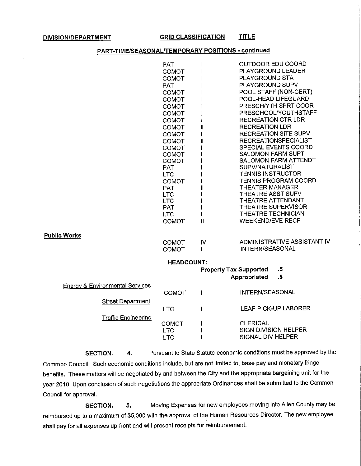**DIVISION/DEPARTMENT GRID CLASSIFICATION TITLE**

#### **PART-TIME/SEASONAL/TEMPORARY POSITIONS** - **continued**

|                                            | <b>PAT</b>          |              | OUTDOOR EDU COORD                           |
|--------------------------------------------|---------------------|--------------|---------------------------------------------|
|                                            | COMOT               |              | PLAYGROUND LEADER                           |
|                                            | COMOT               |              | PLAYGROUND STA                              |
|                                            | <b>PAT</b>          |              | PLAYGROUND SUPV                             |
|                                            | COMOT               |              | POOL STAFF (NON-CERT)                       |
|                                            | <b>COMOT</b>        |              | POOL-HEAD LIFEGUARD                         |
|                                            | <b>COMOT</b>        |              | PRESCH/YTH SPRT COOR                        |
|                                            | COMOT               |              | PRESCHOOL/YOUTHSTAFF                        |
|                                            | <b>COMOT</b>        | l            | <b>RECREATION CTR LDR</b>                   |
|                                            | COMOT               | П            | <b>RECREATION LDR</b>                       |
|                                            | COMOT               | L            | <b>RECREATION SITE SUPV</b>                 |
|                                            | COMOT               | $\mathbf{I}$ | <b>RECREATIONSPECIALIST</b>                 |
|                                            | <b>COMOT</b>        |              | SPECIAL EVENTS COORD                        |
|                                            | <b>COMOT</b>        |              | <b>SALOMON FARM SUPT</b>                    |
|                                            | COMOT               |              | <b>SALOMON FARM ATTENDT</b>                 |
|                                            | <b>PAT</b>          |              | SUPV/NATURALIST<br><b>TENNIS INSTRUCTOR</b> |
|                                            | <b>LTC</b>          |              | <b>TENNIS PROGRAM COORD</b>                 |
|                                            | COMOT<br><b>PAT</b> | Ш            | <b>THEATER MANAGER</b>                      |
|                                            | <b>LTC</b>          |              | <b>THEATRE ASST SUPV</b>                    |
|                                            | <b>LTC</b>          |              | <b>THEATRE ATTENDANT</b>                    |
|                                            | <b>PAT</b>          |              | THEATRE SUPERVISOR                          |
|                                            | <b>LTC</b>          |              | THEATRE TECHNICIAN                          |
|                                            | COMOT               | $\mathbf{I}$ | <b>WEEKEND/EVE RECP</b>                     |
|                                            |                     |              |                                             |
| <b>Public Works</b>                        |                     |              |                                             |
|                                            | COMOT               | IV           | ADMINISTRATIVE ASSISTANT IV                 |
|                                            | COMOT               | $\mathbf{I}$ | <b>INTERN/SEASONAL</b>                      |
|                                            | <b>HEADCOUNT:</b>   |              |                                             |
|                                            |                     |              | $.5\,$<br><b>Property Tax Supported</b>     |
|                                            |                     |              | $.5\,$<br>Appropriated                      |
| <b>Energy &amp; Environmental Services</b> |                     |              |                                             |
|                                            | COMOT               | ł            | INTERN/SEASONAL                             |
|                                            |                     |              |                                             |
| <b>Street Department</b>                   | <b>LTC</b>          |              | <b>LEAF PICK-UP LABORER</b>                 |
|                                            |                     | $\mathbf l$  |                                             |
| <b>Traffic Engineering</b>                 | COMOT               |              | <b>CLERICAL</b>                             |
|                                            | <b>LTC</b>          |              | <b>SIGN DIVISION HELPER</b>                 |
|                                            | <b>LTC</b>          |              | SIGNAL DIV HELPER                           |
|                                            |                     |              |                                             |

**SECTION.** 4. Pursuant to State Statute economic conditions must be approved by the Common Council. Such economic conditions include, but are not limited to, base pay and monetary fringe benefits. These matters will be negotiated by and between the City and the appropriate bargaining unit for the year 2010. Upon conclusion of such negotiations the appropriate Ordinances shall be submitted to the Common Council for approval.

**SECTION. 5.** Moving Expenses for new employees moving into Allen County may be reimbursed up to a maximum of \$5,000 with the approval of the Human Resources Director. The new employee shall pay for all expenses up front and will present receipts for reimbursement.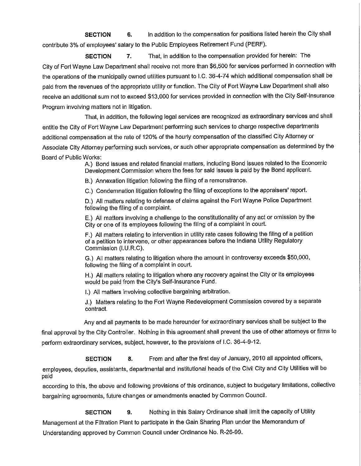**SECTION 6.** In addition to the compensation for positions listed herein the City shall contribute 3% of employees' salary to the Public Employees Retirement Fund (PERF).

**SECTION 7.** That, in addition to the compensation provided for herein: The City of Fort Wayne Law Department shall receive not more than \$6,500 for services performed in connection with the operations of the municipally owned utilities pursuant to I.C. 36-4-74 which additional compensation shall be paid from the revenues of the appropriate utility or function. The City of Fort Wayne Law Department shall also receive an additional sum not to exceed \$13,000 for services provided in connection with the City Self-Insurance Program involving matters not in litigation.

That, in addition, the following legal services are recognized as extraordinary services and shall entitle the City of Fort Wayne Law Department performing such services to charge respective departments additional compensation at the rate of 120% of the hourly compensation of the classified City Attorney or Associate City Attorney performing such services, or such other appropriate compensation as determined by the Board of Public Works:

A.) Bond issues and related financial matters, including Bond issues related to the Economic Development Commission where the fees for said issues is paid by the Bond applicant.

B.) Annexation litigation following the filing of a remonstrance.

C.) Condemnation litigation following the filing of exceptions to the appraisers' report.

D.) All matters relating to defense of claims against the Fort Wayne Police Department following the filing of a complaint.

E.) All matters involving a challenge to the constitutionality of any act or omission by the City or one of its employees following the filing of a complaint in court.

F.) All matters relating to intervention in utility rate cases following the filing of a petition of a petition to intervene, or other appearances before the Indiana Utility Regulatory Commission (I.U.R.C).

G.) All matters relating to litigation where the amount in controversy exceeds \$50,000, following the filing of a complaint in court.

H.) All matters relating to litigation where any recovery against the City or its employees would be paid from the City's Self-Insurance Fund.

I.) All matters involving collective bargaining arbitration.

J.) Matters relating to the Fort Wayne Redevelopment Commission covered by a separate contract.

Any and all payments to be made hereunder for extraordinary services shall be subject to the

final approval by the City Controller. Nothing in this agreement shall prevent the use of other attorneys or firms to perform extraordinary services, subject, however, to the provisions of I.C. 36-4-9-12.

**SECTION 8.** From and after the first day of January, 2010 all appointed officers,

employees, deputies, assistants, departmental and institutional heads of the Civil City and City Utilities will be paid

according to this, the above and following provisions of this ordinance, subject to budgetary limitations, collective bargaining agreements, future changes or amendments enacted by Common Council.

**SECTION 9.** Nothing in this Salary Ordinance shall limit the capacity of Utility Management at the Filtration Plant to participate in the Gain Sharing Plan under the Memorandum of Understanding approved by Common Council under Ordinance No. R-26-99.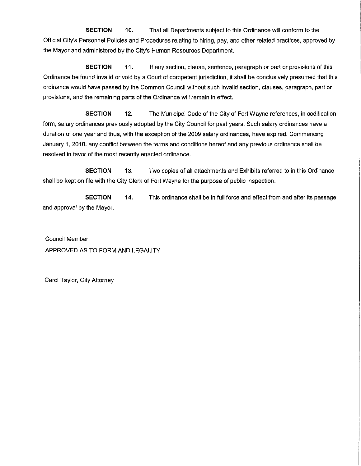**SECTION 10.** That all Departments subject to this Ordinance will conform to the Official City's Personnel Policies and Procedures relating to hiring, pay, and other related practices, approved by the Mayor and administered by the City's Human Resources Department.

**SECTION** 11. If any section, clause, sentence, paragraph or part or provisions of this Ordinance be found invalid or void by a Court of competent jurisdiction, it shall be conclusively presumed that this ordinance would have passed by the Common Council without such invalid section, clauses, paragraph, part or provisions, and the remaining parts of the Ordinance will remain in effect.

**SECTION 12.** The Municipal Code of the City of Fort Wayne references, in codification form, salary ordinances previously adopted by the City Council for past years. Such salary ordinances have a duration of one year and thus, with the exception of the 2009 salary ordinances, have expired. Commencing January 1, 2010, any conflict between the terms and conditions hereof and any previous ordinance shall be resolved in favor of the most recently enacted ordinance.

**SECTION 13.** Two copies of all attachments and Exhibits referred to in this Ordinance shall be kept on file with the City Clerk of Fort Wayne for the purpose of public inspection.

**SECTION 14.** This ordinance shall be in full force and effect from and after its passage and approval by the Mayor.

Council Member APPROVED AS TO FORM AND LEGALITY

Carol Taylor, City Attorney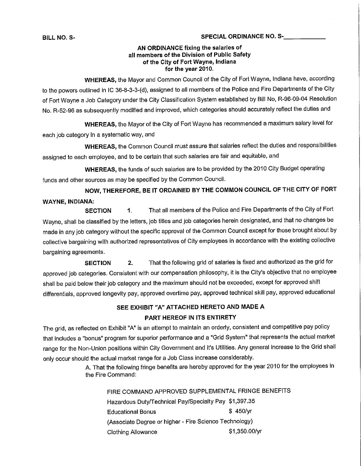### **BILL NO. S- SPECIAL ORDINANCE NO. S-\_**

### **AN ORDINANCE fixing the salaries of all members of the Division of Public Safety of the City of Fort Wayne, Indiana for the year 2010.**

**WHEREAS,** the Mayor and Common Council of the City of Fort Wayne, Indiana have, according to the powers outlined in IC 36-8-3-3-(d), assigned to all members of the Police and Fire Departments of the City of Fort Wayne a Job Category under the City Classification System established by Bill No, R-96-09-04 Resolution No. R-52-96 as subsequently modified and improved, which categories should accurately reflect the duties and

**WHEREAS,** the Mayor of the City of Fort Wayne has recommended a maximum salary level for each job category in a systematic way, and

**WHEREAS,** the Common Council must assure that salaries reflect the duties and responsibilities assigned to each employee, and to be certain that such salaries are fair and equitable, and

**WHEREAS,** the funds of such salaries are to be provided by the 2010 City Budget operating funds and other sources as may be specified by the Common Council.

**NOW, THEREFORE, BE IT ORDAINED BY THE COMMON COUNCIL OF THE CITY OF FORT WAYNE, INDIANA:**

**SECTION** 1. That all members of the Police and Fire Departments of the City of Fort Wayne, shall be classified by the letters, job titles and job categories herein designated, and that no changes be made in any job category without the specific approval of the Common Council except for those brought about by collective bargaining with authorized representatives of City employees in accordance with the existing collective bargaining agreements.

**SECTION 2.** That the following grid of salaries is fixed and authorized as the grid for approved job categories. Consistent with our compensation philosophy, it is the City's objective that no employee shall be paid below their job category and the maximum should not be exceeded, except for approved shift differentials, approved longevity pay, approved overtime pay, approved technical skill pay, approved educational

# **SEE EXHIBIT "A" ATTACHED HERETO AND MADE A PART HEREOF IN ITS ENTIRETY**

The grid, as reflected on Exhibit "A" is an attempt to maintain an orderly, consistent and competitive pay policy that includes a "bonus" program for superior performance and a "Grid System" that represents the actual market range for the Non-Union positions within City Government and it's Utilities. Any general increase to the Grid shall only occur should the actual market range for a Job Class increase considerably.

> A. That the following fringe benefits are hereby approved for the year 2010 for the employees in the Fire Command:

FIRE COMMAND APPROVED SUPPLEMENTAL FRINGE BENEFITS Hazardous Duty/Technical Pay/Specialty Pay \$1,397.35 Educational Bonus **\$450/yr** (Associate Degree or higher - Fire Science Technology) Clothing Allowance  $$1,350.00/yr$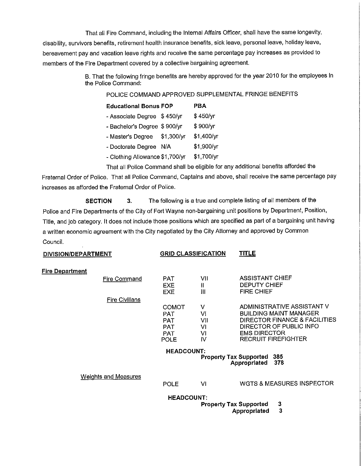That all Fire Command, including the Internal Affairs Officer, shall have the same longevity, disability, survivors benefits, retirement health insurance benefits, sick leave, personal leave, holiday leave, bereavement pay and vacation leave rights and receive the same percentage pay increases as provided to members of the Fire Department covered by a collective bargaining agreement.

> B. That the following fringe benefits are hereby approved for the year 2010 for the employees in the Police Command:

POLICE COMMAND APPROVED SUPPLEMENTAL FRINGE BENEFITS

- Associate Degree \$450/yr \$450/yr
- Bachelor's Degree \$ 900/yr \$ 900/yr
- Master's Degree \$1,300/yr \$1,400/yr
- Doctorate Degree N/A \$1,900/yr
- Clothing Allowance \$1,700/yr \$1,700/yr

That all Police Command shall be eligible for any additional benefits afforded the Fraternal Order of Police. That all Police Command, Captains and above, shall receive the same percentage pay

increases as afforded the Fraternal Order of Police.

**SECTION 3.** The following is a true and complete listing of all members of the Police and Fire Departments of the City of Fort Wayne non-bargaining unit positions by Department, Position, Title, and job category. It does not include those positions which are specified as part of a bargaining unit having a written economic agreement with the City negotiated by the City Attorney and approved by Common Council.

| DIVISION/DEPARTMENT               |                   | <b>GRID CLASSIFICATION</b> | <u>TITLE</u>                            |  |  |  |  |
|-----------------------------------|-------------------|----------------------------|-----------------------------------------|--|--|--|--|
| <b>Fire Department</b>            |                   |                            |                                         |  |  |  |  |
| <b>Fire Command</b>               | <b>PAT</b>        | VII                        | <b>ASSISTANT CHIEF</b>                  |  |  |  |  |
|                                   | <b>EXE</b>        | $\mathbf{H}$               | <b>DEPUTY CHIEF</b>                     |  |  |  |  |
|                                   | <b>EXE</b>        | $\mathbf{III}$             | <b>FIRE CHIEF</b>                       |  |  |  |  |
| <b>Fire Civilians</b>             |                   |                            |                                         |  |  |  |  |
|                                   | COMOT             | V                          | ADMINISTRATIVE ASSISTANT V              |  |  |  |  |
|                                   | PAT               | VI                         | <b>BUILDING MAINT MANAGER</b>           |  |  |  |  |
|                                   | PAT               | VII                        | DIRECTOR FINANCE & FACILITIES           |  |  |  |  |
|                                   | <b>PAT</b>        | VI                         | DIRECTOR OF PUBLIC INFO                 |  |  |  |  |
|                                   | <b>PAT</b>        | VI                         | <b>EMS DIRECTOR</b>                     |  |  |  |  |
|                                   | <b>POLE</b>       | IV                         | <b>RECRUIT FIREFIGHTER</b>              |  |  |  |  |
| <b>HEADCOUNT:</b>                 |                   |                            |                                         |  |  |  |  |
| <b>Property Tax Supported 385</b> |                   |                            |                                         |  |  |  |  |
|                                   |                   |                            | 378<br>Appropriated                     |  |  |  |  |
| <b>Weights and Measures</b>       |                   |                            |                                         |  |  |  |  |
|                                   | <b>POLE</b>       | VI                         | <b>WGTS &amp; MEASURES INSPECTOR</b>    |  |  |  |  |
|                                   | <b>HEADCOUNT:</b> |                            |                                         |  |  |  |  |
|                                   |                   |                            | 3<br><b>Property Tax Supported</b>      |  |  |  |  |
|                                   |                   |                            | $\overline{\mathbf{3}}$<br>Appropriated |  |  |  |  |
|                                   |                   |                            |                                         |  |  |  |  |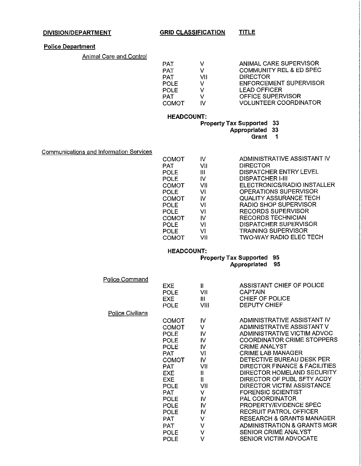#### **DIVISION/DEPARTMENT GRID CLASSIFICATION TITLE**

# **Police Department**

Animal Care and Control

| <b>PAT</b>   |     | ANIMAL CARE SUPERVISOR             |
|--------------|-----|------------------------------------|
| <b>PAT</b>   | v   | <b>COMMUNITY REL &amp; ED SPEC</b> |
| PAT.         | VII | <b>DIRECTOR</b>                    |
| <b>POLE</b>  |     | <b>ENFORCEMENT SUPERVISOR</b>      |
| <b>POLE</b>  |     | <b>LEAD OFFICER</b>                |
| <b>PAT</b>   | V   | OFFICE SUPERVISOR                  |
| <b>COMOT</b> | N   | <b>VOLUNTEER COORDINATOR</b>       |

#### **HEADCOUNT:**

**Property Tax Supported 33**

**Appropriated 33**

**Grant 1**

Communications and Information Services

| сомот | IV  | ADMINISTRATIVE ASSISTANT IV   |
|-------|-----|-------------------------------|
| PAT   | VII | <b>DIRECTOR</b>               |
| POLE  | Ш   | <b>DISPATCHER ENTRY LEVEL</b> |
| POLE  | I۷  | <b>DISPATCHER I-III</b>       |
| сомот | VII | ELECTRONICS/RADIO INSTALLER   |
| POLE  | vı  | <b>OPERATIONS SUPERVISOR</b>  |
| сомот | W   | <b>QUALITY ASSURANCE TECH</b> |
| POLE  | VI  | RADIO SHOP SUPERVISOR         |
| POLE  | vı  | <b>RECORDS SUPERVISOR</b>     |
| сомот | IV  | <b>RECORDS TECHNICIAN</b>     |
| POLE  | VI  | <b>DISPATCHER SUPERVISOR</b>  |
| POLE  | vı  | <b>TRAINING SUPERVISOR</b>    |
| СОМОТ | VII | TWO-WAY RADIO ELEC TECH       |
|       |     |                               |

# **HEADCOUNT:**

#### **Property Tax Supported 95 Appropriated 95**

| ADMINISTRATIVE ASSISTANT IV          |
|--------------------------------------|
| ADMINISTRATIVE ASSISTANT V           |
| ADMINISTRATIVE VICTIM ADVOC          |
| <b>COORDINATOR CRIME STOPPERS</b>    |
|                                      |
|                                      |
| DETECTIVE BUREAU DESK PER            |
| DIRECTOR FINANCE & FACILITIES        |
| DIRECTOR HOMELAND SECURITY           |
| DIRECTOR OF PUBL SFTY ACDY           |
| DIRECTOR VICTIM ASSISTANCE           |
|                                      |
|                                      |
|                                      |
|                                      |
| <b>RESEARCH &amp; GRANTS MANAGER</b> |
| ADMINISTRATION & GRANTS MGR          |
|                                      |
|                                      |
|                                      |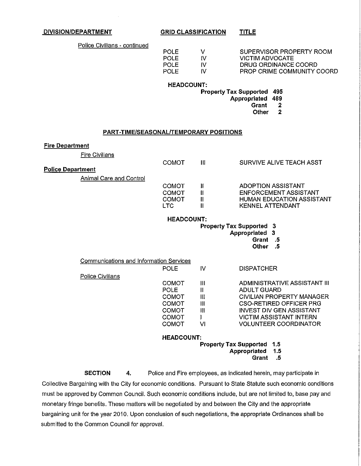**DIVISION/DEPARTMENT GRID CLASSIFICATION**

**TITLE**

Police Civilians - continued

| v  |
|----|
| N  |
| IV |
| N  |
|    |

SUPERVISOR PROPERTY ROOM VICTIM ADVOCATE DRUG ORDINANCE COORD PROP CRIME COMMUNITY COORD

## **HEADCOUNT:**

**Property Tax Supported 495**

**Appropriated 489**

**Grant 2**

**Other 2**

#### **PART-TIME/SEASONAL/TEMPORARY POSITIONS**

#### **Fire Department**

**Fire Civilians** 

|                          | COMOT                           | Ш  | SURVIVE ALIVE TEACH ASST     |  |  |  |  |
|--------------------------|---------------------------------|----|------------------------------|--|--|--|--|
| <b>Police Department</b> |                                 |    |                              |  |  |  |  |
| Animal Care and Control  |                                 |    |                              |  |  |  |  |
|                          | COMOT                           | Ш  | ADOPTION ASSISTANT           |  |  |  |  |
|                          | СОМОТ                           | II | <b>ENFORCEMENT ASSISTANT</b> |  |  |  |  |
|                          | COMOT                           | Ш  | HUMAN EDUCATION ASSISTANT    |  |  |  |  |
|                          | LTC.                            |    | <b>KENNEL ATTENDANT</b>      |  |  |  |  |
| <b>HEADCOUNT:</b>        |                                 |    |                              |  |  |  |  |
|                          | <b>Property Tax Supported 3</b> |    |                              |  |  |  |  |

**Property Tax Supported 3**

**Appropriated 3**

**Grant .5**

**Other .5**

| Communications and Information Services |                                   |    |                              |  |  |
|-----------------------------------------|-----------------------------------|----|------------------------------|--|--|
|                                         | <b>POLE</b>                       | IV | <b>DISPATCHER</b>            |  |  |
| Police Civilians                        |                                   |    |                              |  |  |
|                                         | COMOT                             | Ш  | ADMINISTRATIVE ASSISTANT III |  |  |
|                                         | <b>POLE</b>                       | Ш  | ADULT GUARD                  |  |  |
|                                         | <b>COMOT</b>                      | Ш  | CIVILIAN PROPERTY MANAGER    |  |  |
|                                         | COMOT                             | Ш  | CSO-RETIRED OFFICER PRG      |  |  |
|                                         | COMOT                             | m  | INVEST DIV GEN ASSISTANT     |  |  |
|                                         | COMOT                             |    | VICTIM ASSISTANT INTERN      |  |  |
|                                         | COMOT                             | vı | <b>VOLUNTEER COORDINATOR</b> |  |  |
|                                         | <b>HEADCOUNT:</b>                 |    |                              |  |  |
|                                         | <b>Property Tax Supported 1.5</b> |    |                              |  |  |
|                                         | Appropriated 1.5                  |    |                              |  |  |
|                                         |                                   |    | .5<br>Grant                  |  |  |

**SECTION 4.** Police and Fire employees, as indicated herein, may participate in Collective Bargaining with the City for economic conditions. Pursuant to State Statute such economic conditions must be approved by Common Council. Such economic conditions include, but are not limited to, base pay and monetary fringe benefits. These matters will be negotiated by and between the City and the appropriate bargaining unit for the year 2010. Upon conclusion of such negotiations, the appropriate Ordinances shall be submitted to the Common Council for approval.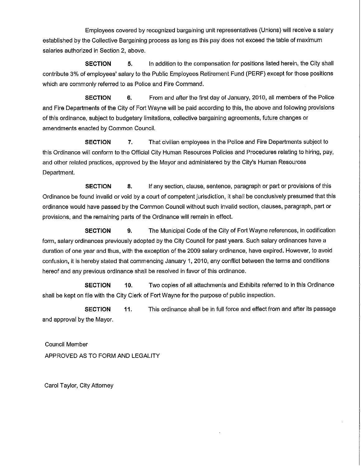Employees covered by recognized bargaining unit representatives (Unions) will receive a salary established by the Collective Bargaining process as long as this pay does not exceed the table of maximum salaries authorized in Section 2, above.

**SECTION** 5. In addition to the compensation for positions listed herein, the City shall contribute 3% of employees' salary to the Public Employees Retirement Fund (PERF) except for those positions which are commonly referred to as Police and Fire Command,

**SECTION 6.** From and after the first day of January, 2010, all members of the Police and Fire Departments of the City of Fort Wayne will be paid according to this, the above and following provisions of this ordinance, subject to budgetary limitations, collective bargaining agreements, future changes or amendments enacted by Common Council.

**SECTION 7,** That civilian employees in the Police and Fire Departments subject to this Ordinance will conform to the Official City Human Resources Policies and Procedures relating to hiring, pay, and other related practices, approved by the Mayor and administered by the City's Human Resources Department.

**SECTION** 8. If any section, clause, sentence, paragraph or part or provisions of this Ordinance be found invalid or void by a court of competent jurisdiction, it shall be conclusively presumed that this ordinance would have passed by the Common Council without such invalid section, clauses, paragraph, part or provisions, and the remaining parts of the Ordinance will remain in effect.

**SECTION 9.** The Municipal Code of the City of Fort Wayne references, in codification form, salary ordinances previously adopted by the City Council for past years. Such salary ordinances have a duration of one year and thus, with the exception of the 2009 salary ordinance, have expired. However, to avoid confusion, it is hereby stated that commencing January 1, 2010, any conflict between the terms and conditions hereof and any previous ordinance shall be resolved in favor of this ordinance.

**SECTION 10.** Two copies of all attachments and Exhibits referred to in this Ordinance shall be kept on file with the City Clerk of Fort Wayne for the purpose of public inspection.

**SECTION** 11. This ordinance shall be in full force and effect from and after its passage and approval by the Mayor.

Council Member APPROVED AS TO FORM AND LEGALITY

Carol Taylor, City Attorney